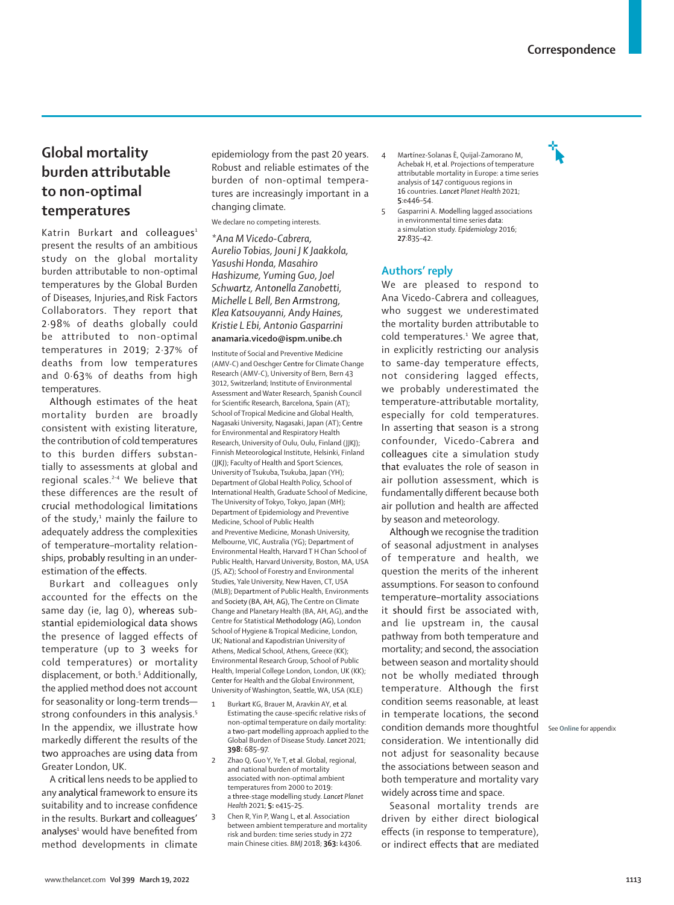## **Global mortality burden attributable to non-optimal temperatures**

Katrin Burkart and colleagues<sup>1</sup> present the results of an ambitious study on the global mortality burden attributable to non-optimal temperatures by the Global Burden of Diseases, Injuries,and Risk Factors Collaborators. They report that 2·98% of deaths globally could be attributed to non-optimal temperatures in 2019; 2·37% of deaths from low temperatures and 0·63% of deaths from high temperatures.

Although estimates of the heat mortality burden are broadly consistent with existing literature, the contribution of cold temperatures to this burden differs substantially to assessments at global and regional scales.<sup>2-4</sup> We believe that these differences are the result of crucial methodological limitations of the study, 1 mainly the failure to adequately address the complexities of temperature*–*mortality relationships, probably resulting in an underestimation of the effects.

Burkart and colleagues only accounted for the effects on the same day (ie, lag 0), whereas substantial epidemiological data shows the presence of lagged effects of temperature (up to 3 weeks for cold temperatures) or mortality displacement, or both.<sup>5</sup> Additionally, the applied method does not account for seasonality or long-term trends strong confounders in this analysis.<sup>5</sup> In the appendix, we illustrate how markedly different the results of the two approaches are using data from Greater London, UK.

A critical lens needs to be applied to any analytical framework to ensure its suitability and to increase confidence in the results. Burkart and colleagues' analyses<sup>1</sup> would have benefited from method developments in climate

epidemiology from the past 20 years. Robust and reliable estimates of the burden of non-optimal temperatures are increasingly important in a changing climate.

We declare no competing interests.

*\*Ana M Vicedo-Cabrera, Aurelio Tobias, Jouni J K Jaakkola, Yasushi Honda, Masahiro Hashizume, Yuming Guo, Joel Schwartz, Antonella Zanobetti, Michelle L Bell, Ben Armstrong, Klea Katsouyanni, Andy Haines, Kristie L Ebi, Antonio Gasparrini* **anamaria.vicedo@ispm.unibe.ch**

Institute of Social and Preventive Medicine (AMV-C) and Oeschger Centre for Climate Change Research (AMV-C), University of Bern, Bern 43 3012, Switzerland; Institute of Environmental Assessment and Water Research, Spanish Council for Scientific Research, Barcelona, Spain (AT); School of Tropical Medicine and Global Health, Nagasaki University, Nagasaki, Japan (AT); Centre for Environmental and Respiratory Health Research, University of Oulu, Oulu, Finland (JJKJ); Finnish Meteorological Institute, Helsinki, Finland (JJKJ); Faculty of Health and Sport Sciences, University of Tsukuba, Tsukuba, Japan (YH); Department of Global Health Policy, School of International Health, Graduate School of Medicine, The University of Tokyo, Tokyo, Japan (MH); Department of Epidemiology and Preventive Medicine, School of Public Health and Preventive Medicine, Monash University, Melbourne, VIC, Australia (YG); Department of Environmental Health, Harvard T H Chan School of Public Health, Harvard University, Boston, MA, USA (JS, AZ); School of Forestry and Environmental Studies, Yale University, New Haven, CT, USA (MLB); Department of Public Health, Environments and Society (BA, AH, AG), The Centre on Climate Change and Planetary Health (BA, AH, AG), and the Centre for Statistical Methodology (AG), London School of Hygiene & Tropical Medicine, London, UK; National and Kapodistrian University of Athens, Medical School, Athens, Greece (KK); Environmental Research Group, School of Public Health, Imperial College London, London, UK (KK); Center for Health and the Global Environment, University of Washington, Seattle, WA, USA (KLE)

- 1 Burkart KG, Brauer M, Aravkin AY, et al*.*  Estimating the cause-specific relative risks of non-optimal temperature on daily mortality: a two-part modelling approach applied to the Global Burden of Disease Study. *Lancet* 2021; **398:** 685–97.
- 2 Zhao Q, Guo Y, Ye T, et al. Global, regional, and national burden of mortality associated with non-optimal ambient temperatures from 2000 to 2019: a three-stage modelling study. *Lancet Planet Health* 2021; **5:** e415–25.
- 3 Chen R, Yin P, Wang L, et al. Association between ambient temperature and mortality risk and burden: time series study in 272 main Chinese cities. *BMJ* 2018; **363:** k4306.
- 4 Martínez-Solanas È, Quijal-Zamorano M, Achebak H, et al. Projections of temperature attributable mortality in Europe: a time series analysis of 147 contiguous regions in 16 countries. *Lancet Planet Health* 2021; **5**:e446–54.
- 5 Gasparrini A. Modelling lagged associations in environmental time series data: a simulation study. *Epidemiology* 2016; **27**:835–42.

## **Authors' reply**

We are pleased to respond to Ana Vicedo-Cabrera and colleagues, who suggest we underestimated the mortality burden attributable to cold temperatures.<sup>1</sup> We agree that, in explicitly restricting our analysis to same-day temperature effects, not considering lagged effects, we probably underestimated the temperature-attributable mortality, especially for cold temperatures. In asserting that season is a strong confounder, Vicedo-Cabrera and colleagues cite a simulation study that evaluates the role of season in air pollution assessment, which is fundamentally different because both air pollution and health are affected by season and meteorology.

Although we recognise the tradition of seasonal adjustment in analyses of temperature and health, we question the merits of the inherent assumptions. For season to confound temperature–mortality associations it should first be associated with, and lie upstream in, the causal pathway from both temperature and mortality; and second, the association between season and mortality should not be wholly mediated through temperature. Although the first condition seems reasonable, at least in temperate locations, the second condition demands more thoughtful See **Online** for appendixconsideration. We intentionally did not adjust for seasonality because the associations between season and both temperature and mortality vary widely across time and space.

Seasonal mortality trends are driven by either direct biological effects (in response to temperature), or indirect effects that are mediated